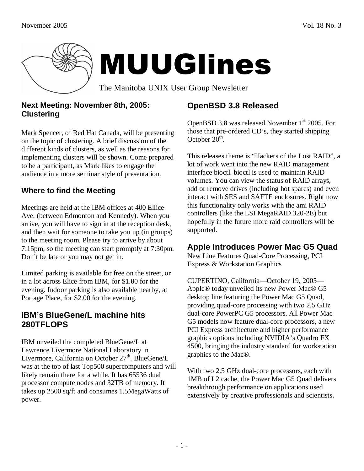

## **Next Meeting: November 8th, 2005: Clustering**

Mark Spencer, of Red Hat Canada, will be presenting on the topic of clustering. A brief discussion of the different kinds of clusters, as well as the reasons for implementing clusters will be shown. Come prepared to be a participant, as Mark likes to engage the audience in a more seminar style of presentation.

# **Where to find the Meeting**

Meetings are held at the IBM offices at 400 Ellice Ave. (between Edmonton and Kennedy). When you arrive, you will have to sign in at the reception desk, and then wait for someone to take you up (in groups) to the meeting room. Please try to arrive by about 7:15pm, so the meeting can start promptly at 7:30pm. Don't be late or you may not get in.

Limited parking is available for free on the street, or in a lot across Elice from IBM, for \$1.00 for the evening. Indoor parking is also available nearby, at Portage Place, for \$2.00 for the evening.

## **IBM's BlueGene/L machine hits 280TFLOPS**

IBM unveiled the completed BlueGene/L at Lawrence Livermore National Laboratory in Livermore, California on October 27<sup>th</sup>. BlueGene/L was at the top of last Top500 supercomputers and will likely remain there for a while. It has 65536 dual processor compute nodes and 32TB of memory. It takes up 2500 sq/ft and consumes 1.5MegaWatts of power.

# **OpenBSD 3.8 Released**

OpenBSD 3.8 was released November  $1<sup>st</sup>$  2005. For those that pre-ordered CD's, they started shipping October  $20^{\text{th}}$ .

This releases theme is "Hackers of the Lost RAID", a lot of work went into the new RAID management interface bioctl. bioctl is used to maintain RAID volumes. You can view the status of RAID arrays, add or remove drives (including hot spares) and even interact with SES and SAFTE enclosures. Right now this functionality only works with the ami RAID controllers (like the LSI MegaRAID 320-2E) but hopefully in the future more raid controllers will be supported.

# **Apple Introduces Power Mac G5 Quad**

New Line Features Quad-Core Processing, PCI Express & Workstation Graphics

CUPERTINO, California—October 19, 2005— Apple® today unveiled its new Power Mac® G5 desktop line featuring the Power Mac G5 Quad, providing quad-core processing with two 2.5 GHz dual-core PowerPC G5 processors. All Power Mac G5 models now feature dual-core processors, a new PCI Express architecture and higher performance graphics options including NVIDIA's Quadro FX 4500, bringing the industry standard for workstation graphics to the Mac®.

With two 2.5 GHz dual-core processors, each with 1MB of L2 cache, the Power Mac G5 Quad delivers breakthrough performance on applications used extensively by creative professionals and scientists.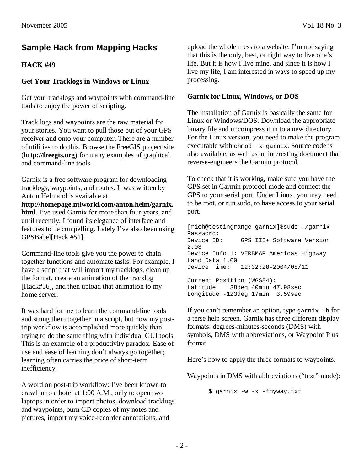# **Sample Hack from Mapping Hacks**

### **HACK #49**

### **Get Your Tracklogs in Windows or Linux**

Get your tracklogs and waypoints with command-line tools to enjoy the power of scripting.

Track logs and waypoints are the raw material for your stories. You want to pull those out of your GPS receiver and onto your computer. There are a number of utilities to do this. Browse the FreeGIS project site (**http://freegis.org**) for many examples of graphical and command-line tools.

Garnix is a free software program for downloading tracklogs, waypoints, and routes. It was written by Anton Helmand is available at

**http://homepage.ntlworld.com/anton.helm/garnix. html**. I've used Garnix for more than four years, and until recently, I found its elegance of interface and features to be compelling. Lately I've also been using GPSBabel[Hack #51].

Command-line tools give you the power to chain together functions and automate tasks. For example, I have a script that will import my tracklogs, clean up the format, create an animation of the tracklog [Hack#56], and then upload that animation to my home server.

It was hard for me to learn the command-line tools and string them together in a script, but now my posttrip workflow is accomplished more quickly than trying to do the same thing with individual GUI tools. This is an example of a productivity paradox. Ease of use and ease of learning don't always go together; learning often carries the price of short-term inefficiency.

A word on post-trip workflow: I've been known to crawl in to a hotel at 1:00 A.M., only to open two laptops in order to import photos, download tracklogs and waypoints, burn CD copies of my notes and pictures, import my voice-recorder annotations, and

upload the whole mess to a website. I'm not saying that this is the only, best, or right way to live one's life. But it is how I live mine, and since it is how I live my life, I am interested in ways to speed up my processing.

### **Garnix for Linux, Windows, or DOS**

The installation of Garnix is basically the same for Linux or Windows/DOS. Download the appropriate binary file and uncompress it in to a new directory. For the Linux version, you need to make the program executable with chmod +x garnix. Source code is also available, as well as an interesting document that reverse-engineers the Garmin protocol.

To check that it is working, make sure you have the GPS set in Garmin protocol mode and connect the GPS to your serial port. Under Linux, you may need to be root, or run sudo, to have access to your serial port.

[rich@testingrange garnix]\$sudo ./garnix Password: Device ID: GPS III+ Software Version 2.03 Device Info 1: VERBMAP Americas Highway Land Data 1.00 Device Time: 12:32:28-2004/08/11

Current Position (WGS84): Latitude 38deg 40min 47.98sec Longitude -123deg 17min 3.59sec

If you can't remember an option, type garnix -h for a terse help screen. Garnix has three different display formats: degrees-minutes-seconds (DMS) with symbols, DMS with abbreviations, or Waypoint Plus format.

Here's how to apply the three formats to waypoints.

Waypoints in DMS with abbreviations ("text" mode):

\$ garnix -w -x -fmyway.txt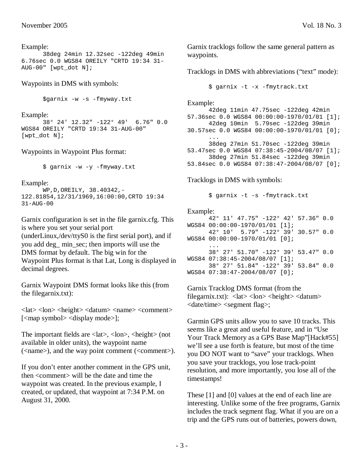#### Example:

```
38deg 24min 12.32sec -122deg 49min 
6.76sec 0.0 WGS84 OREILY "CRTD 19:34 31-
AUG-00" [wpt_dot N];
```
Waypoints in DMS with symbols:

```
$garnix -w -s -fmyway.txt
```
#### Example:

```
38° 24' 12.32" -122° 49' 6.76" 0.0 
WGS84 OREILY "CRTD 19:34 31-AUG-00" 
[wpt_dot N];
```
Waypoints in Waypoint Plus format:

```
$ garnix -w -y -fmyway.txt
```
#### Example:

WP,D,OREILY, 38.40342,- 122.81854,12/31/1969,16:00:00,CRTD 19:34 31-AUG-00

Garnix configuration is set in the file garnix.cfg. This is where you set your serial port (underLinux,/dev/ttyS0 is the first serial port), and if you add deg\_ min\_sec; then imports will use the DMS format by default. The big win for the Waypoint Plus format is that Lat, Long is displayed in decimal degrees.

Garnix Waypoint DMS format looks like this (from the filegarnix.txt):

 $\langle \text{lat} \rangle \langle \text{lon} \rangle \langle \text{height} \rangle \langle \text{datum} \rangle \langle \text{name} \rangle \langle \text{comment} \rangle$ [<map symbol> <display mode>];

The important fields are  $\langle \text{lat} \rangle$ ,  $\langle \text{lon} \rangle$ ,  $\langle \text{height} \rangle$  (not available in older units), the waypoint name  $(\langle$ name $\rangle)$ , and the way point comment  $(\langle$ comment $\rangle)$ .

If you don't enter another comment in the GPS unit, then <comment> will be the date and time the waypoint was created. In the previous example, I created, or updated, that waypoint at 7:34 P.M. on August 31, 2000.

Garnix tracklogs follow the same general pattern as waypoints.

Tracklogs in DMS with abbreviations ("text" mode):

\$ garnix -t -x -fmytrack.txt

#### Example:

42deg 11min 47.75sec -122deg 42min 57.36sec 0.0 WGS84 00:00:00-1970/01/01 [1]; 42deg 10min 5.79sec -122deg 39min 30.57sec 0.0 WGS84 00:00:00-1970/01/01 [0]; ... 38deg 27min 51.70sec -122deg 39min 53.47sec 0.0 WGS84 07:38:45-2004/08/07 [1]; 38deg 27min 51.84sec -122deg 39min 53.84sec 0.0 WGS84 07:38:47-2004/08/07 [0];

#### Tracklogs in DMS with symbols:

\$ garnix -t -s -fmytrack.txt

#### Example:

| 42° 11' 47.75" -122° 42' 57.36" 0.0<br>WGS84 00:00:00-1970/01/01 [1];                  |  |
|----------------------------------------------------------------------------------------|--|
| $42^{\circ}$ 10' 5.79" $-122^{\circ}$ 39' 30.57" 0.0<br>WGS84 00:00:00-1970/01/01 [0]; |  |
| 38° 27' 51.70" -122° 39' 53.47" 0.0<br>WGS84 07:38:45-2004/08/07 [1];                  |  |
| 38° 27' 51.84" -122° 39' 53.84" 0.0<br>WGS84 07:38:47-2004/08/07 [0];                  |  |

Garnix Tracklog DMS format (from the filegarnix.txt):  $\langle \text{lat} \rangle \langle \text{lon} \rangle \langle \text{height} \rangle \langle \text{datum} \rangle$ <date/time> <segment flag>;

Garmin GPS units allow you to save 10 tracks. This seems like a great and useful feature, and in "Use Your Track Memory as a GPS Base Map"[Hack#55] we'll see a use forth is feature, but most of the time you DO NOT want to "save" your tracklogs. When you save your tracklogs, you lose track-point resolution, and more importantly, you lose all of the timestamps!

These [1] and [0] values at the end of each line are interesting. Unlike some of the free programs, Garnix includes the track segment flag. What if you are on a trip and the GPS runs out of batteries, powers down,